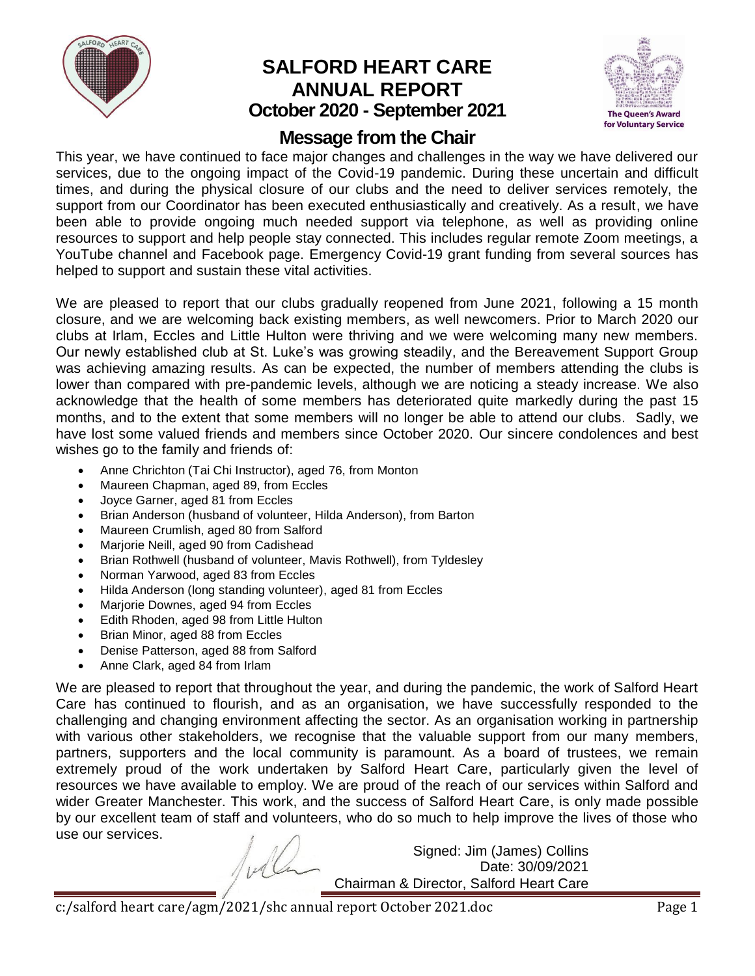

# **SALFORD HEART CARE ANNUAL REPORT October 2020 - September 2021**



# **Message from the Chair**

This year, we have continued to face major changes and challenges in the way we have delivered our services, due to the ongoing impact of the Covid-19 pandemic. During these uncertain and difficult times, and during the physical closure of our clubs and the need to deliver services remotely, the support from our Coordinator has been executed enthusiastically and creatively. As a result, we have been able to provide ongoing much needed support via telephone, as well as providing online resources to support and help people stay connected. This includes regular remote Zoom meetings, a YouTube channel and Facebook page. Emergency Covid-19 grant funding from several sources has helped to support and sustain these vital activities.

We are pleased to report that our clubs gradually reopened from June 2021, following a 15 month closure, and we are welcoming back existing members, as well newcomers. Prior to March 2020 our clubs at Irlam, Eccles and Little Hulton were thriving and we were welcoming many new members. Our newly established club at St. Luke's was growing steadily, and the Bereavement Support Group was achieving amazing results. As can be expected, the number of members attending the clubs is lower than compared with pre-pandemic levels, although we are noticing a steady increase. We also acknowledge that the health of some members has deteriorated quite markedly during the past 15 months, and to the extent that some members will no longer be able to attend our clubs. Sadly, we have lost some valued friends and members since October 2020. Our sincere condolences and best wishes go to the family and friends of:

- Anne Chrichton (Tai Chi Instructor), aged 76, from Monton
- Maureen Chapman, aged 89, from Eccles
- Joyce Garner, aged 81 from Eccles
- Brian Anderson (husband of volunteer, Hilda Anderson), from Barton
- Maureen Crumlish, aged 80 from Salford
- Marjorie Neill, aged 90 from Cadishead
- Brian Rothwell (husband of volunteer, Mavis Rothwell), from Tyldesley
- Norman Yarwood, aged 83 from Eccles
- Hilda Anderson (long standing volunteer), aged 81 from Eccles
- Marjorie Downes, aged 94 from Eccles
- Edith Rhoden, aged 98 from Little Hulton
- Brian Minor, aged 88 from Eccles
- Denise Patterson, aged 88 from Salford
- Anne Clark, aged 84 from Irlam

We are pleased to report that throughout the year, and during the pandemic, the work of Salford Heart Care has continued to flourish, and as an organisation, we have successfully responded to the challenging and changing environment affecting the sector. As an organisation working in partnership with various other stakeholders, we recognise that the valuable support from our many members, partners, supporters and the local community is paramount. As a board of trustees, we remain extremely proud of the work undertaken by Salford Heart Care, particularly given the level of resources we have available to employ. We are proud of the reach of our services within Salford and wider Greater Manchester. This work, and the success of Salford Heart Care, is only made possible by our excellent team of staff and volunteers, who do so much to help improve the lives of those who use our services.

> Signed: Jim (James) Collins Date: 30/09/2021 Chairman & Director, Salford Heart Care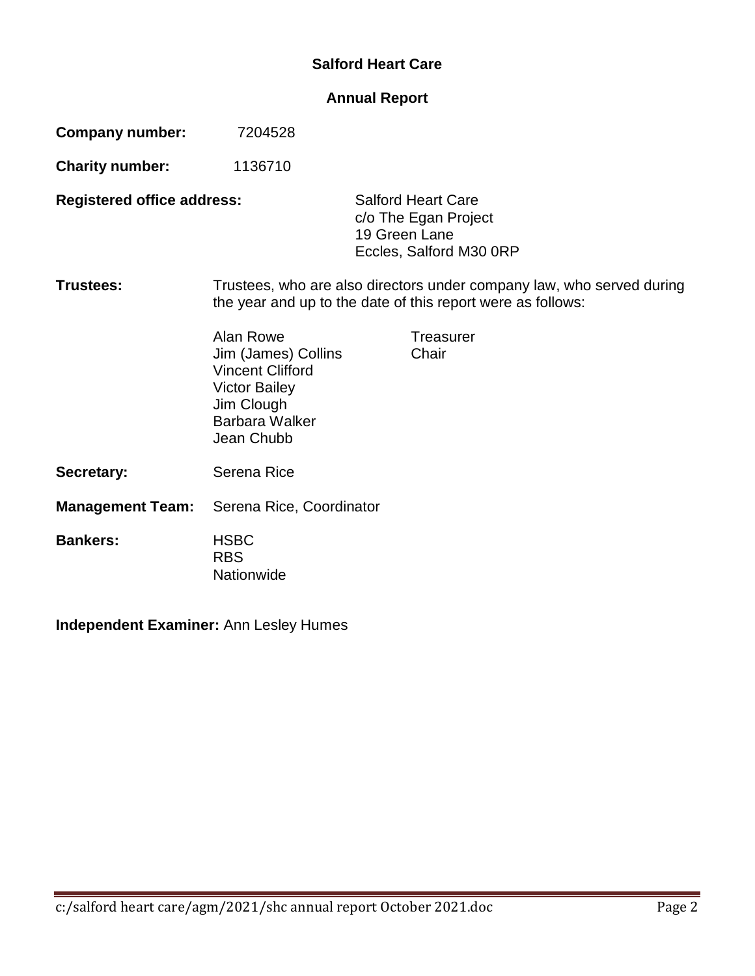## **Salford Heart Care**

## **Annual Report**

| <b>Company number:</b>            | 7204528                                                                                                                                  |                                                                                               |                    |  |  |
|-----------------------------------|------------------------------------------------------------------------------------------------------------------------------------------|-----------------------------------------------------------------------------------------------|--------------------|--|--|
| <b>Charity number:</b>            | 1136710                                                                                                                                  |                                                                                               |                    |  |  |
| <b>Registered office address:</b> |                                                                                                                                          | <b>Salford Heart Care</b><br>c/o The Egan Project<br>19 Green Lane<br>Eccles, Salford M30 ORP |                    |  |  |
| Trustees:                         | Trustees, who are also directors under company law, who served during<br>the year and up to the date of this report were as follows:     |                                                                                               |                    |  |  |
|                                   | Alan Rowe<br>Jim (James) Collins<br><b>Vincent Clifford</b><br><b>Victor Bailey</b><br>Jim Clough<br><b>Barbara Walker</b><br>Jean Chubb |                                                                                               | Treasurer<br>Chair |  |  |
| Secretary:                        | Serena Rice                                                                                                                              |                                                                                               |                    |  |  |
| <b>Management Team:</b>           | Serena Rice, Coordinator                                                                                                                 |                                                                                               |                    |  |  |
| <b>Bankers:</b>                   | <b>HSBC</b><br><b>RBS</b><br>Nationwide                                                                                                  |                                                                                               |                    |  |  |

**Independent Examiner:** Ann Lesley Humes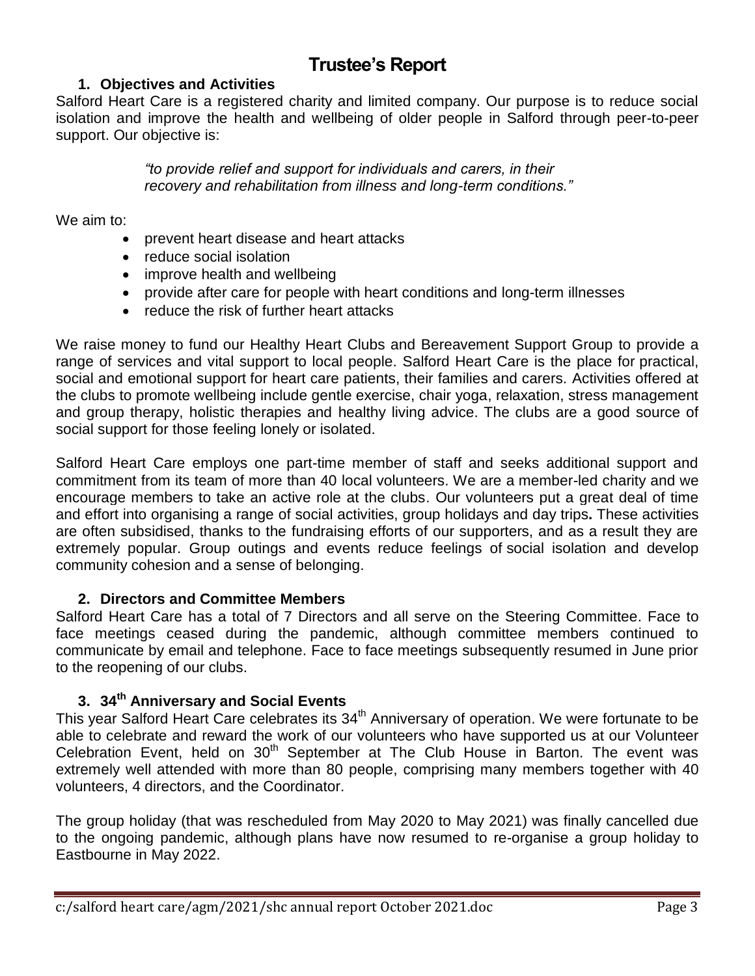# **Trustee's Report**

## **1. Objectives and Activities**

Salford Heart Care is a registered charity and limited company. Our purpose is to reduce social isolation and improve the health and wellbeing of older people in Salford through peer-to-peer support. Our objective is:

> *"to provide relief and support for individuals and carers, in their recovery and rehabilitation from illness and long-term conditions."*

We aim to:

- prevent heart disease and heart attacks
- reduce social isolation
- improve health and wellbeing
- provide after care for people with heart conditions and long-term illnesses
- reduce the risk of further heart attacks

We raise money to fund our Healthy Heart Clubs and Bereavement Support Group to provide a range of services and vital support to local people. Salford Heart Care is the place for practical, social and emotional support for heart care patients, their families and carers. Activities offered at the clubs to promote wellbeing include gentle exercise, chair yoga, relaxation, stress management and group therapy, holistic therapies and healthy living advice. The clubs are a good source of social support for those feeling lonely or isolated.

Salford Heart Care employs one part-time member of staff and seeks additional support and commitment from its team of more than 40 local volunteers. We are a member-led charity and we encourage members to take an active role at the clubs. Our volunteers put a great deal of time and effort into organising a range of social activities, group holidays and day trips**.** These activities are often subsidised, thanks to the fundraising efforts of our supporters, and as a result they are extremely popular. Group outings and events reduce feelings of social isolation and develop community cohesion and a sense of belonging.

## **2. Directors and Committee Members**

Salford Heart Care has a total of 7 Directors and all serve on the Steering Committee. Face to face meetings ceased during the pandemic, although committee members continued to communicate by email and telephone. Face to face meetings subsequently resumed in June prior to the reopening of our clubs.

## **3. 34 th Anniversary and Social Events**

This year Salford Heart Care celebrates its 34<sup>th</sup> Anniversary of operation. We were fortunate to be able to celebrate and reward the work of our volunteers who have supported us at our Volunteer Celebration Event, held on  $30<sup>th</sup>$  September at The Club House in Barton. The event was extremely well attended with more than 80 people, comprising many members together with 40 volunteers, 4 directors, and the Coordinator.

The group holiday (that was rescheduled from May 2020 to May 2021) was finally cancelled due to the ongoing pandemic, although plans have now resumed to re-organise a group holiday to Eastbourne in May 2022.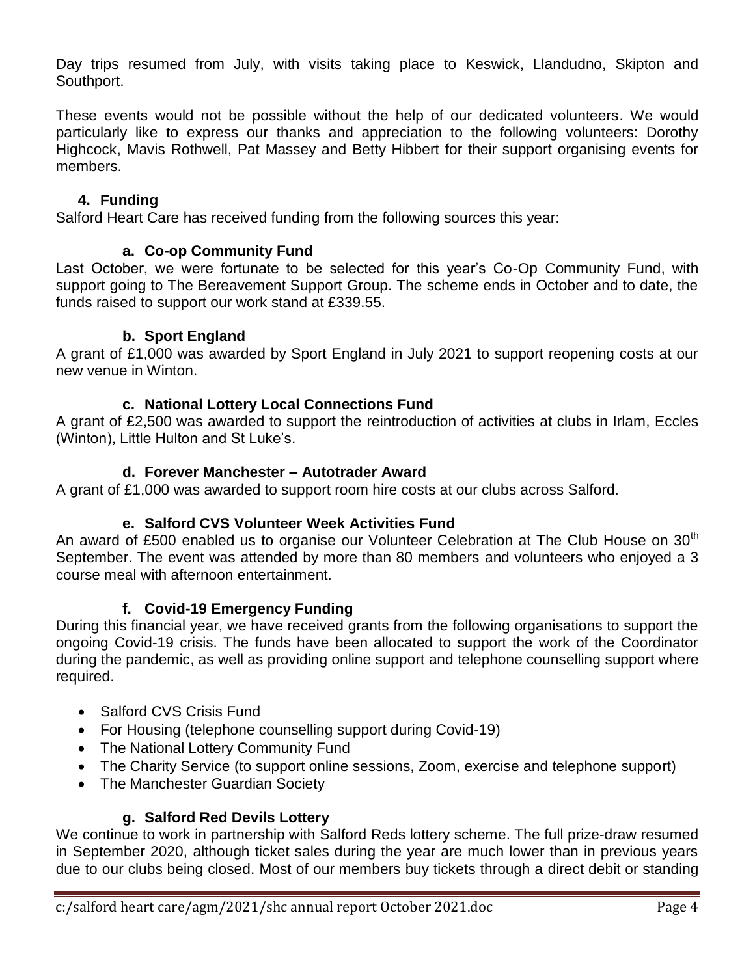Day trips resumed from July, with visits taking place to Keswick, Llandudno, Skipton and Southport.

These events would not be possible without the help of our dedicated volunteers. We would particularly like to express our thanks and appreciation to the following volunteers: Dorothy Highcock, Mavis Rothwell, Pat Massey and Betty Hibbert for their support organising events for members.

## **4. Funding**

Salford Heart Care has received funding from the following sources this year:

### **a. Co-op Community Fund**

Last October, we were fortunate to be selected for this year's Co-Op Community Fund, with support going to The Bereavement Support Group. The scheme ends in October and to date, the funds raised to support our work stand at £339.55.

#### **b. Sport England**

A grant of £1,000 was awarded by Sport England in July 2021 to support reopening costs at our new venue in Winton.

#### **c. National Lottery Local Connections Fund**

A grant of £2,500 was awarded to support the reintroduction of activities at clubs in Irlam, Eccles (Winton), Little Hulton and St Luke's.

#### **d. Forever Manchester – Autotrader Award**

A grant of £1,000 was awarded to support room hire costs at our clubs across Salford.

## **e. Salford CVS Volunteer Week Activities Fund**

An award of £500 enabled us to organise our Volunteer Celebration at The Club House on  $30<sup>th</sup>$ September. The event was attended by more than 80 members and volunteers who enjoyed a 3 course meal with afternoon entertainment.

#### **f. Covid-19 Emergency Funding**

During this financial year, we have received grants from the following organisations to support the ongoing Covid-19 crisis. The funds have been allocated to support the work of the Coordinator during the pandemic, as well as providing online support and telephone counselling support where required.

- Salford CVS Crisis Fund
- For Housing (telephone counselling support during Covid-19)
- The National Lottery Community Fund
- The Charity Service (to support online sessions, Zoom, exercise and telephone support)
- The Manchester Guardian Society

## **g. Salford Red Devils Lottery**

We continue to work in partnership with Salford Reds lottery scheme. The full prize-draw resumed in September 2020, although ticket sales during the year are much lower than in previous years due to our clubs being closed. Most of our members buy tickets through a direct debit or standing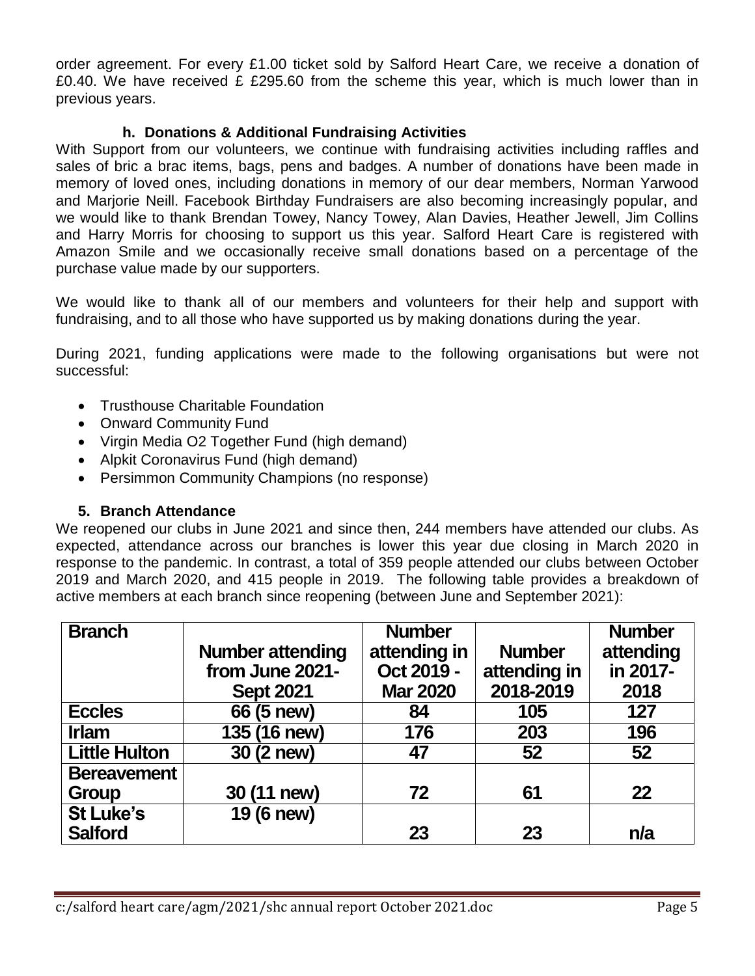order agreement. For every £1.00 ticket sold by Salford Heart Care, we receive a donation of £0.40. We have received £ £295.60 from the scheme this year, which is much lower than in previous years.

## **h. Donations & Additional Fundraising Activities**

With Support from our volunteers, we continue with fundraising activities including raffles and sales of bric a brac items, bags, pens and badges. A number of donations have been made in memory of loved ones, including donations in memory of our dear members, Norman Yarwood and Marjorie Neill. Facebook Birthday Fundraisers are also becoming increasingly popular, and we would like to thank Brendan Towey, Nancy Towey, Alan Davies, Heather Jewell, Jim Collins and Harry Morris for choosing to support us this year. Salford Heart Care is registered with Amazon Smile and we occasionally receive small donations based on a percentage of the purchase value made by our supporters.

We would like to thank all of our members and volunteers for their help and support with fundraising, and to all those who have supported us by making donations during the year.

During 2021, funding applications were made to the following organisations but were not successful:

- Trusthouse Charitable Foundation
- Onward Community Fund
- Virgin Media O2 Together Fund (high demand)
- Alpkit Coronavirus Fund (high demand)
- Persimmon Community Champions (no response)

#### **5. Branch Attendance**

We reopened our clubs in June 2021 and since then, 244 members have attended our clubs. As expected, attendance across our branches is lower this year due closing in March 2020 in response to the pandemic. In contrast, a total of 359 people attended our clubs between October 2019 and March 2020, and 415 people in 2019. The following table provides a breakdown of active members at each branch since reopening (between June and September 2021):

| <b>Branch</b>        |                         | <b>Number</b>                 |              | <b>Number</b> |
|----------------------|-------------------------|-------------------------------|--------------|---------------|
|                      | <b>Number attending</b> | attending in<br><b>Number</b> |              | attending     |
|                      | from June 2021-         | Oct 2019 -                    | attending in | in 2017-      |
|                      | <b>Sept 2021</b>        | <b>Mar 2020</b>               | 2018-2019    | 2018          |
| <b>Eccles</b>        | 66 (5 new)              | 84                            | 105          | 127           |
| <b>Irlam</b>         | 135 (16 new)            | 176                           | 203          | 196           |
| <b>Little Hulton</b> | 30 (2 new)              | 47                            | 52           | 52            |
| <b>Bereavement</b>   |                         |                               |              |               |
| Group                | 30 (11 new)             | 72                            | 61           | 22            |
| <b>St Luke's</b>     | 19 (6 new)              |                               |              |               |
| <b>Salford</b>       |                         | 23                            | 23           | n/a           |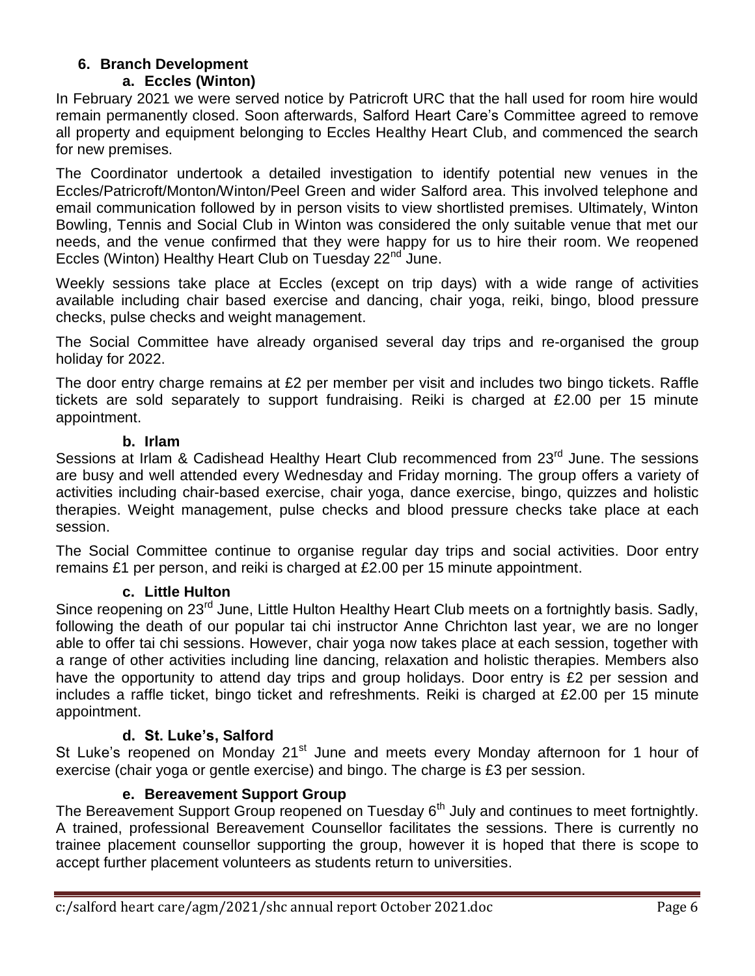#### **6. Branch Development a. Eccles (Winton)**

In February 2021 we were served notice by Patricroft URC that the hall used for room hire would remain permanently closed. Soon afterwards, Salford Heart Care's Committee agreed to remove all property and equipment belonging to Eccles Healthy Heart Club, and commenced the search for new premises.

The Coordinator undertook a detailed investigation to identify potential new venues in the Eccles/Patricroft/Monton/Winton/Peel Green and wider Salford area. This involved telephone and email communication followed by in person visits to view shortlisted premises. Ultimately, Winton Bowling, Tennis and Social Club in Winton was considered the only suitable venue that met our needs, and the venue confirmed that they were happy for us to hire their room. We reopened Eccles (Winton) Healthy Heart Club on Tuesday 22<sup>nd</sup> June.

Weekly sessions take place at Eccles (except on trip days) with a wide range of activities available including chair based exercise and dancing, chair yoga, reiki, bingo, blood pressure checks, pulse checks and weight management.

The Social Committee have already organised several day trips and re-organised the group holiday for 2022.

The door entry charge remains at £2 per member per visit and includes two bingo tickets. Raffle tickets are sold separately to support fundraising. Reiki is charged at £2.00 per 15 minute appointment.

#### **b. Irlam**

Sessions at Irlam & Cadishead Healthy Heart Club recommenced from 23<sup>rd</sup> June. The sessions are busy and well attended every Wednesday and Friday morning. The group offers a variety of activities including chair-based exercise, chair yoga, dance exercise, bingo, quizzes and holistic therapies. Weight management, pulse checks and blood pressure checks take place at each session.

The Social Committee continue to organise regular day trips and social activities. Door entry remains £1 per person, and reiki is charged at £2.00 per 15 minute appointment.

## **c. Little Hulton**

Since reopening on 23<sup>rd</sup> June, Little Hulton Healthy Heart Club meets on a fortnightly basis. Sadly, following the death of our popular tai chi instructor Anne Chrichton last year, we are no longer able to offer tai chi sessions. However, chair yoga now takes place at each session, together with a range of other activities including line dancing, relaxation and holistic therapies. Members also have the opportunity to attend day trips and group holidays. Door entry is £2 per session and includes a raffle ticket, bingo ticket and refreshments. Reiki is charged at £2.00 per 15 minute appointment.

## **d. St. Luke's, Salford**

St Luke's reopened on Monday 21<sup>st</sup> June and meets every Monday afternoon for 1 hour of exercise (chair yoga or gentle exercise) and bingo. The charge is £3 per session.

## **e. Bereavement Support Group**

The Bereavement Support Group reopened on Tuesday 6<sup>th</sup> July and continues to meet fortnightly. A trained, professional Bereavement Counsellor facilitates the sessions. There is currently no trainee placement counsellor supporting the group, however it is hoped that there is scope to accept further placement volunteers as students return to universities.